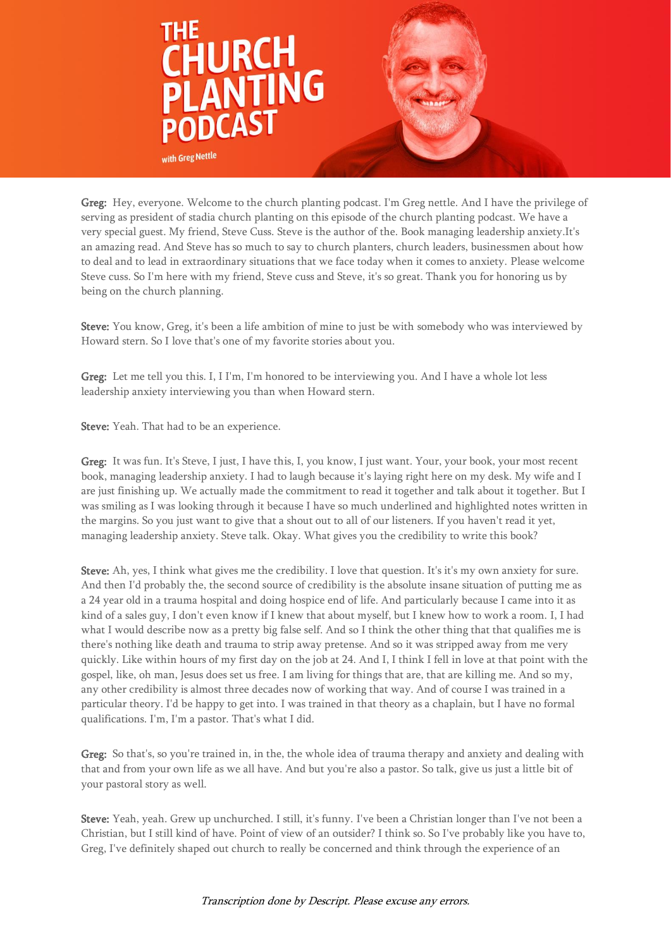

Greg: Hey, everyone. Welcome to the church planting podcast. I'm Greg nettle. And I have the privilege of serving as president of stadia church planting on this episode of the church planting podcast. We have a very special guest. My friend, Steve Cuss. Steve is the author of the. Book managing leadership anxiety.It's an amazing read. And Steve has so much to say to church planters, church leaders, businessmen about how to deal and to lead in extraordinary situations that we face today when it comes to anxiety. Please welcome Steve cuss. So I'm here with my friend, Steve cuss and Steve, it's so great. Thank you for honoring us by being on the church planning.

Steve: You know, Greg, it's been a life ambition of mine to just be with somebody who was interviewed by Howard stern. So I love that's one of my favorite stories about you.

Greg: Let me tell you this. I, I I'm, I'm honored to be interviewing you. And I have a whole lot less leadership anxiety interviewing you than when Howard stern.

Steve: Yeah. That had to be an experience.

Greg: It was fun. It's Steve, I just, I have this, I, you know, I just want. Your, your book, your most recent book, managing leadership anxiety. I had to laugh because it's laying right here on my desk. My wife and I are just finishing up. We actually made the commitment to read it together and talk about it together. But I was smiling as I was looking through it because I have so much underlined and highlighted notes written in the margins. So you just want to give that a shout out to all of our listeners. If you haven't read it yet, managing leadership anxiety. Steve talk. Okay. What gives you the credibility to write this book?

Steve: Ah, yes, I think what gives me the credibility. I love that question. It's it's my own anxiety for sure. And then I'd probably the, the second source of credibility is the absolute insane situation of putting me as a 24 year old in a trauma hospital and doing hospice end of life. And particularly because I came into it as kind of a sales guy, I don't even know if I knew that about myself, but I knew how to work a room. I, I had what I would describe now as a pretty big false self. And so I think the other thing that that qualifies me is there's nothing like death and trauma to strip away pretense. And so it was stripped away from me very quickly. Like within hours of my first day on the job at 24. And I, I think I fell in love at that point with the gospel, like, oh man, Jesus does set us free. I am living for things that are, that are killing me. And so my, any other credibility is almost three decades now of working that way. And of course I was trained in a particular theory. I'd be happy to get into. I was trained in that theory as a chaplain, but I have no formal qualifications. I'm, I'm a pastor. That's what I did.

Greg: So that's, so you're trained in, in the, the whole idea of trauma therapy and anxiety and dealing with that and from your own life as we all have. And but you're also a pastor. So talk, give us just a little bit of your pastoral story as well.

Steve: Yeah, yeah. Grew up unchurched. I still, it's funny. I've been a Christian longer than I've not been a Christian, but I still kind of have. Point of view of an outsider? I think so. So I've probably like you have to, Greg, I've definitely shaped out church to really be concerned and think through the experience of an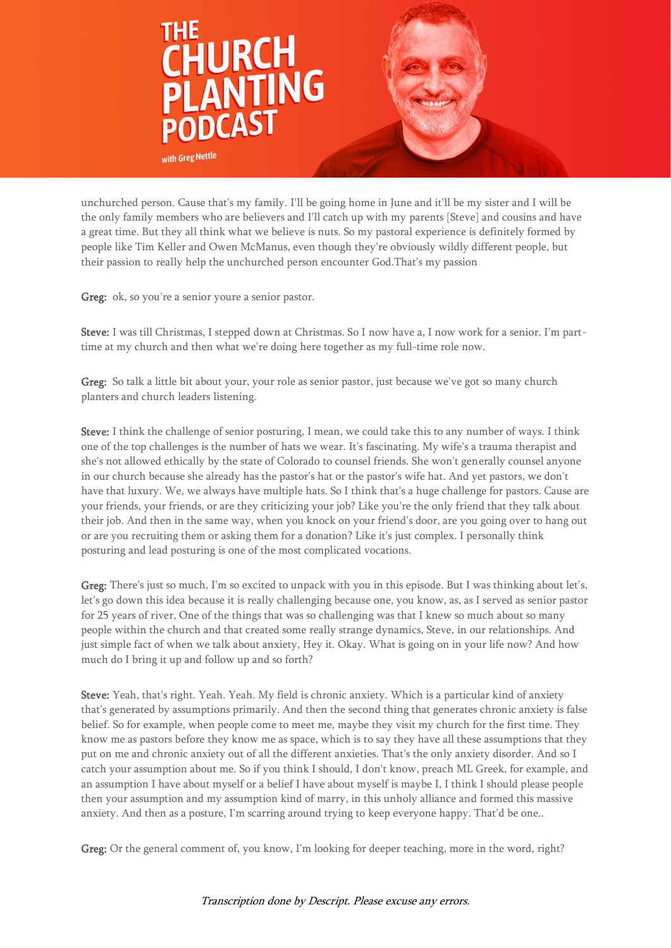

unchurched person. Cause that's my family. I'll be going home in June and it'll be my sister and I will be the only family members who are believers and I'll catch up with my parents [Steve] and cousins and have a great time. But they all think what we believe is nuts. So my pastoral experience is definitely formed by people like Tim Keller and Owen McManus, even though they're obviously wildly different people, but their passion to really help the unchurched person encounter God.That's my passion

Greg: ok, so you're a senior youre a senior pastor.

Steve: I was till Christmas, I stepped down at Christmas. So I now have a, I now work for a senior. I'm parttime at my church and then what we're doing here together as my full-time role now.

Greg: So talk a little bit about your, your role as senior pastor, just because we've got so many church planters and church leaders listening.

Steve: I think the challenge of senior posturing, I mean, we could take this to any number of ways. I think one of the top challenges is the number of hats we wear. It's fascinating. My wife's a trauma therapist and she's not allowed ethically by the state of Colorado to counsel friends. She won't generally counsel anyone in our church because she already has the pastor's hat or the pastor's wife hat. And yet pastors, we don't have that luxury. We, we always have multiple hats. So I think that's a huge challenge for pastors. Cause are your friends, your friends, or are they criticizing your job? Like you're the only friend that they talk about their job. And then in the same way, when you knock on your friend's door, are you going over to hang out or are you recruiting them or asking them for a donation? Like it's just complex. I personally think posturing and lead posturing is one of the most complicated vocations.

Greg: There's just so much, I'm so excited to unpack with you in this episode. But I was thinking about let's, let's go down this idea because it is really challenging because one, you know, as, as I served as senior pastor for 25 years of river, One of the things that was so challenging was that I knew so much about so many people within the church and that created some really strange dynamics, Steve, in our relationships. And just simple fact of when we talk about anxiety, Hey it. Okay. What is going on in your life now? And how much do I bring it up and follow up and so forth?

Steve: Yeah, that's right. Yeah. Yeah. My field is chronic anxiety. Which is a particular kind of anxiety that's generated by assumptions primarily. And then the second thing that generates chronic anxiety is false belief. So for example, when people come to meet me, maybe they visit my church for the first time. They know me as pastors before they know me as space, which is to say they have all these assumptions that they put on me and chronic anxiety out of all the different anxieties. That's the only anxiety disorder. And so I catch your assumption about me. So if you think I should, I don't know, preach ML Greek, for example, and an assumption I have about myself or a belief I have about myself is maybe I, I think I should please people then your assumption and my assumption kind of marry, in this unholy alliance and formed this massive anxiety. And then as a posture, I'm scarring around trying to keep everyone happy. That'd be one..

Greg: Or the general comment of, you know, I'm looking for deeper teaching, more in the word, right?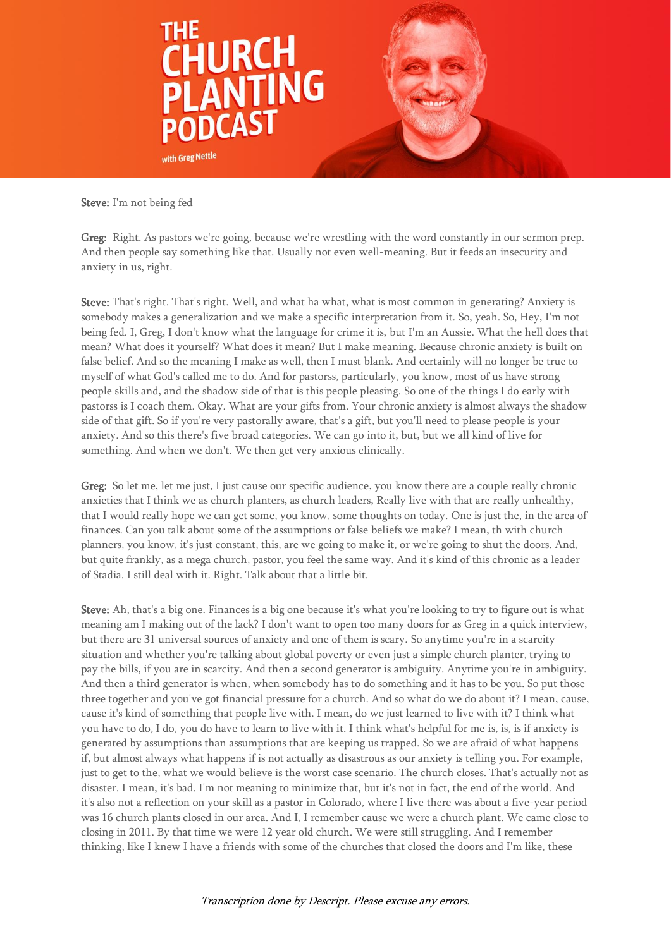

Steve: I'm not being fed

Greg: Right. As pastors we're going, because we're wrestling with the word constantly in our sermon prep. And then people say something like that. Usually not even well-meaning. But it feeds an insecurity and anxiety in us, right.

Steve: That's right. That's right. Well, and what ha what, what is most common in generating? Anxiety is somebody makes a generalization and we make a specific interpretation from it. So, yeah. So, Hey, I'm not being fed. I, Greg, I don't know what the language for crime it is, but I'm an Aussie. What the hell does that mean? What does it yourself? What does it mean? But I make meaning. Because chronic anxiety is built on false belief. And so the meaning I make as well, then I must blank. And certainly will no longer be true to myself of what God's called me to do. And for pastorss, particularly, you know, most of us have strong people skills and, and the shadow side of that is this people pleasing. So one of the things I do early with pastorss is I coach them. Okay. What are your gifts from. Your chronic anxiety is almost always the shadow side of that gift. So if you're very pastorally aware, that's a gift, but you'll need to please people is your anxiety. And so this there's five broad categories. We can go into it, but, but we all kind of live for something. And when we don't. We then get very anxious clinically.

Greg: So let me, let me just, I just cause our specific audience, you know there are a couple really chronic anxieties that I think we as church planters, as church leaders, Really live with that are really unhealthy, that I would really hope we can get some, you know, some thoughts on today. One is just the, in the area of finances. Can you talk about some of the assumptions or false beliefs we make? I mean, th with church planners, you know, it's just constant, this, are we going to make it, or we're going to shut the doors. And, but quite frankly, as a mega church, pastor, you feel the same way. And it's kind of this chronic as a leader of Stadia. I still deal with it. Right. Talk about that a little bit.

Steve: Ah, that's a big one. Finances is a big one because it's what you're looking to try to figure out is what meaning am I making out of the lack? I don't want to open too many doors for as Greg in a quick interview, but there are 31 universal sources of anxiety and one of them is scary. So anytime you're in a scarcity situation and whether you're talking about global poverty or even just a simple church planter, trying to pay the bills, if you are in scarcity. And then a second generator is ambiguity. Anytime you're in ambiguity. And then a third generator is when, when somebody has to do something and it has to be you. So put those three together and you've got financial pressure for a church. And so what do we do about it? I mean, cause, cause it's kind of something that people live with. I mean, do we just learned to live with it? I think what you have to do, I do, you do have to learn to live with it. I think what's helpful for me is, is, is if anxiety is generated by assumptions than assumptions that are keeping us trapped. So we are afraid of what happens if, but almost always what happens if is not actually as disastrous as our anxiety is telling you. For example, just to get to the, what we would believe is the worst case scenario. The church closes. That's actually not as disaster. I mean, it's bad. I'm not meaning to minimize that, but it's not in fact, the end of the world. And it's also not a reflection on your skill as a pastor in Colorado, where I live there was about a five-year period was 16 church plants closed in our area. And I, I remember cause we were a church plant. We came close to closing in 2011. By that time we were 12 year old church. We were still struggling. And I remember thinking, like I knew I have a friends with some of the churches that closed the doors and I'm like, these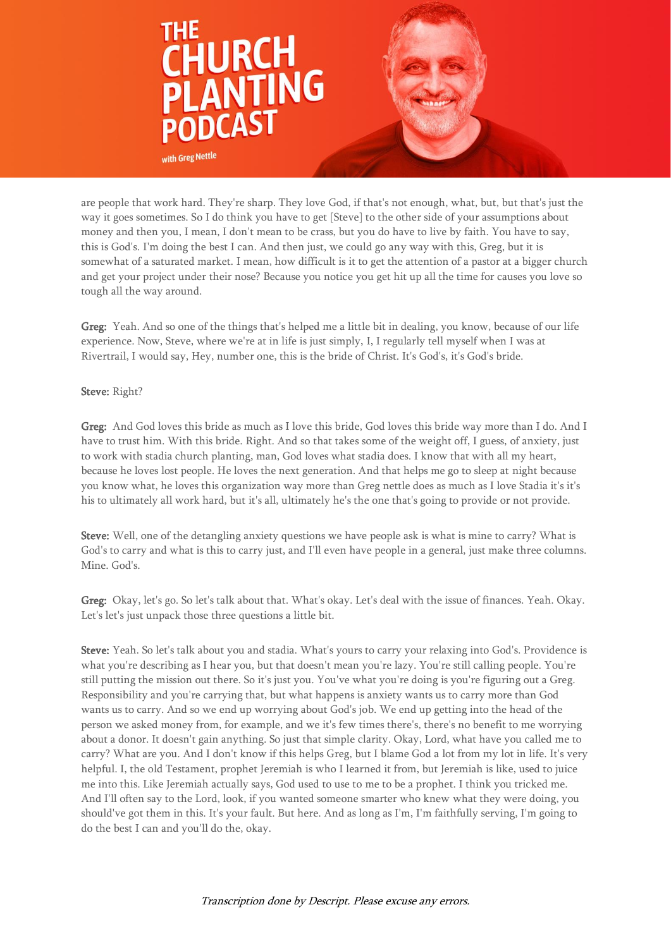

are people that work hard. They're sharp. They love God, if that's not enough, what, but, but that's just the way it goes sometimes. So I do think you have to get [Steve] to the other side of your assumptions about money and then you, I mean, I don't mean to be crass, but you do have to live by faith. You have to say, this is God's. I'm doing the best I can. And then just, we could go any way with this, Greg, but it is somewhat of a saturated market. I mean, how difficult is it to get the attention of a pastor at a bigger church and get your project under their nose? Because you notice you get hit up all the time for causes you love so tough all the way around.

Greg: Yeah. And so one of the things that's helped me a little bit in dealing, you know, because of our life experience. Now, Steve, where we're at in life is just simply, I, I regularly tell myself when I was at Rivertrail, I would say, Hey, number one, this is the bride of Christ. It's God's, it's God's bride.

## Steve: Right?

Greg: And God loves this bride as much as I love this bride, God loves this bride way more than I do. And I have to trust him. With this bride. Right. And so that takes some of the weight off, I guess, of anxiety, just to work with stadia church planting, man, God loves what stadia does. I know that with all my heart, because he loves lost people. He loves the next generation. And that helps me go to sleep at night because you know what, he loves this organization way more than Greg nettle does as much as I love Stadia it's it's his to ultimately all work hard, but it's all, ultimately he's the one that's going to provide or not provide.

Steve: Well, one of the detangling anxiety questions we have people ask is what is mine to carry? What is God's to carry and what is this to carry just, and I'll even have people in a general, just make three columns. Mine. God's.

Greg: Okay, let's go. So let's talk about that. What's okay. Let's deal with the issue of finances. Yeah. Okay. Let's let's just unpack those three questions a little bit.

Steve: Yeah. So let's talk about you and stadia. What's yours to carry your relaxing into God's. Providence is what you're describing as I hear you, but that doesn't mean you're lazy. You're still calling people. You're still putting the mission out there. So it's just you. You've what you're doing is you're figuring out a Greg. Responsibility and you're carrying that, but what happens is anxiety wants us to carry more than God wants us to carry. And so we end up worrying about God's job. We end up getting into the head of the person we asked money from, for example, and we it's few times there's, there's no benefit to me worrying about a donor. It doesn't gain anything. So just that simple clarity. Okay, Lord, what have you called me to carry? What are you. And I don't know if this helps Greg, but I blame God a lot from my lot in life. It's very helpful. I, the old Testament, prophet Jeremiah is who I learned it from, but Jeremiah is like, used to juice me into this. Like Jeremiah actually says, God used to use to me to be a prophet. I think you tricked me. And I'll often say to the Lord, look, if you wanted someone smarter who knew what they were doing, you should've got them in this. It's your fault. But here. And as long as I'm, I'm faithfully serving, I'm going to do the best I can and you'll do the, okay.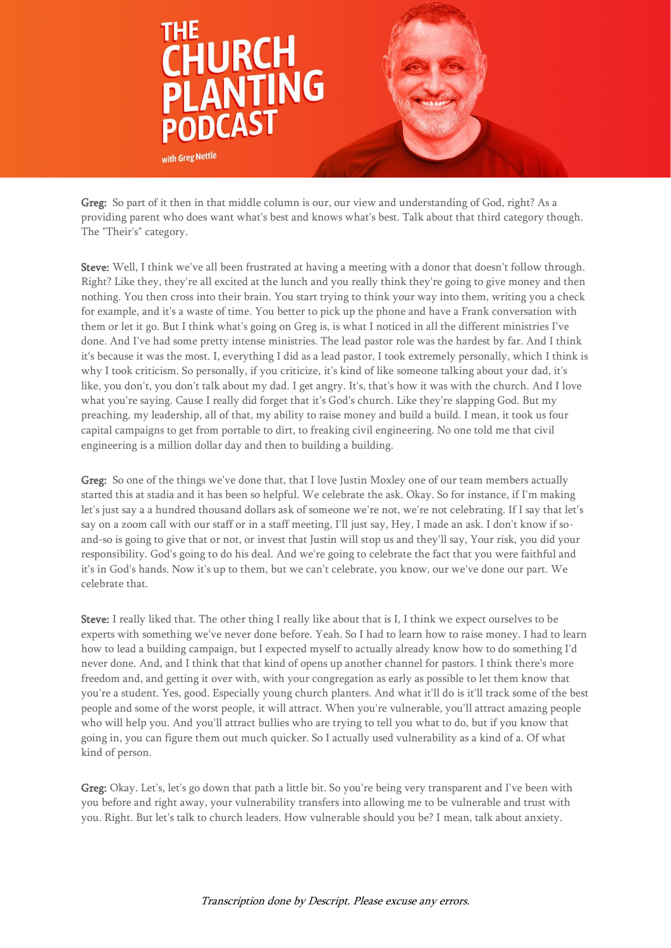

Greg: So part of it then in that middle column is our, our view and understanding of God, right? As a providing parent who does want what's best and knows what's best. Talk about that third category though. The "Their's" category.

Steve: Well, I think we've all been frustrated at having a meeting with a donor that doesn't follow through. Right? Like they, they're all excited at the lunch and you really think they're going to give money and then nothing. You then cross into their brain. You start trying to think your way into them, writing you a check for example, and it's a waste of time. You better to pick up the phone and have a Frank conversation with them or let it go. But I think what's going on Greg is, is what I noticed in all the different ministries I've done. And I've had some pretty intense ministries. The lead pastor role was the hardest by far. And I think it's because it was the most. I, everything I did as a lead pastor, I took extremely personally, which I think is why I took criticism. So personally, if you criticize, it's kind of like someone talking about your dad, it's like, you don't, you don't talk about my dad. I get angry. It's, that's how it was with the church. And I love what you're saying. Cause I really did forget that it's God's church. Like they're slapping God. But my preaching, my leadership, all of that, my ability to raise money and build a build. I mean, it took us four capital campaigns to get from portable to dirt, to freaking civil engineering. No one told me that civil engineering is a million dollar day and then to building a building.

Greg: So one of the things we've done that, that I love Justin Moxley one of our team members actually started this at stadia and it has been so helpful. We celebrate the ask. Okay. So for instance, if I'm making let's just say a a hundred thousand dollars ask of someone we're not, we're not celebrating. If I say that let's say on a zoom call with our staff or in a staff meeting, I'll just say, Hey, I made an ask. I don't know if soand-so is going to give that or not, or invest that Justin will stop us and they'll say, Your risk, you did your responsibility. God's going to do his deal. And we're going to celebrate the fact that you were faithful and it's in God's hands. Now it's up to them, but we can't celebrate, you know, our we've done our part. We celebrate that.

Steve: I really liked that. The other thing I really like about that is I, I think we expect ourselves to be experts with something we've never done before. Yeah. So I had to learn how to raise money. I had to learn how to lead a building campaign, but I expected myself to actually already know how to do something I'd never done. And, and I think that that kind of opens up another channel for pastors. I think there's more freedom and, and getting it over with, with your congregation as early as possible to let them know that you're a student. Yes, good. Especially young church planters. And what it'll do is it'll track some of the best people and some of the worst people, it will attract. When you're vulnerable, you'll attract amazing people who will help you. And you'll attract bullies who are trying to tell you what to do, but if you know that going in, you can figure them out much quicker. So I actually used vulnerability as a kind of a. Of what kind of person.

Greg: Okay. Let's, let's go down that path a little bit. So you're being very transparent and I've been with you before and right away, your vulnerability transfers into allowing me to be vulnerable and trust with you. Right. But let's talk to church leaders. How vulnerable should you be? I mean, talk about anxiety.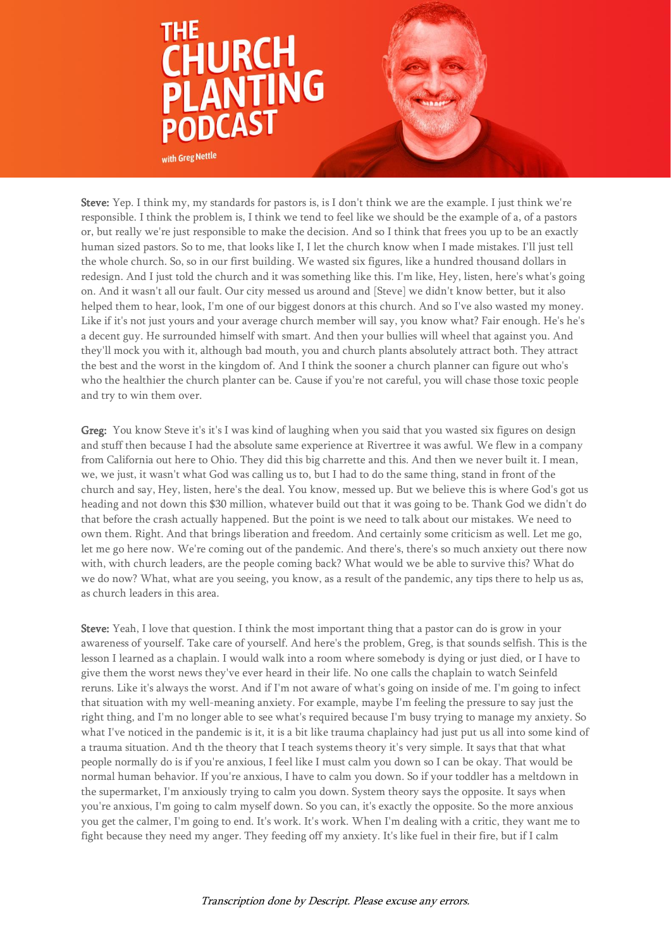

Steve: Yep. I think my, my standards for pastors is, is I don't think we are the example. I just think we're responsible. I think the problem is, I think we tend to feel like we should be the example of a, of a pastors or, but really we're just responsible to make the decision. And so I think that frees you up to be an exactly human sized pastors. So to me, that looks like I, I let the church know when I made mistakes. I'll just tell the whole church. So, so in our first building. We wasted six figures, like a hundred thousand dollars in redesign. And I just told the church and it was something like this. I'm like, Hey, listen, here's what's going on. And it wasn't all our fault. Our city messed us around and [Steve] we didn't know better, but it also helped them to hear, look, I'm one of our biggest donors at this church. And so I've also wasted my money. Like if it's not just yours and your average church member will say, you know what? Fair enough. He's he's a decent guy. He surrounded himself with smart. And then your bullies will wheel that against you. And they'll mock you with it, although bad mouth, you and church plants absolutely attract both. They attract the best and the worst in the kingdom of. And I think the sooner a church planner can figure out who's who the healthier the church planter can be. Cause if you're not careful, you will chase those toxic people and try to win them over.

Greg: You know Steve it's it's I was kind of laughing when you said that you wasted six figures on design and stuff then because I had the absolute same experience at Rivertree it was awful. We flew in a company from California out here to Ohio. They did this big charrette and this. And then we never built it. I mean, we, we just, it wasn't what God was calling us to, but I had to do the same thing, stand in front of the church and say, Hey, listen, here's the deal. You know, messed up. But we believe this is where God's got us heading and not down this \$30 million, whatever build out that it was going to be. Thank God we didn't do that before the crash actually happened. But the point is we need to talk about our mistakes. We need to own them. Right. And that brings liberation and freedom. And certainly some criticism as well. Let me go, let me go here now. We're coming out of the pandemic. And there's, there's so much anxiety out there now with, with church leaders, are the people coming back? What would we be able to survive this? What do we do now? What, what are you seeing, you know, as a result of the pandemic, any tips there to help us as, as church leaders in this area.

Steve: Yeah, I love that question. I think the most important thing that a pastor can do is grow in your awareness of yourself. Take care of yourself. And here's the problem, Greg, is that sounds selfish. This is the lesson I learned as a chaplain. I would walk into a room where somebody is dying or just died, or I have to give them the worst news they've ever heard in their life. No one calls the chaplain to watch Seinfeld reruns. Like it's always the worst. And if I'm not aware of what's going on inside of me. I'm going to infect that situation with my well-meaning anxiety. For example, maybe I'm feeling the pressure to say just the right thing, and I'm no longer able to see what's required because I'm busy trying to manage my anxiety. So what I've noticed in the pandemic is it, it is a bit like trauma chaplaincy had just put us all into some kind of a trauma situation. And th the theory that I teach systems theory it's very simple. It says that that what people normally do is if you're anxious, I feel like I must calm you down so I can be okay. That would be normal human behavior. If you're anxious, I have to calm you down. So if your toddler has a meltdown in the supermarket, I'm anxiously trying to calm you down. System theory says the opposite. It says when you're anxious, I'm going to calm myself down. So you can, it's exactly the opposite. So the more anxious you get the calmer, I'm going to end. It's work. It's work. When I'm dealing with a critic, they want me to fight because they need my anger. They feeding off my anxiety. It's like fuel in their fire, but if I calm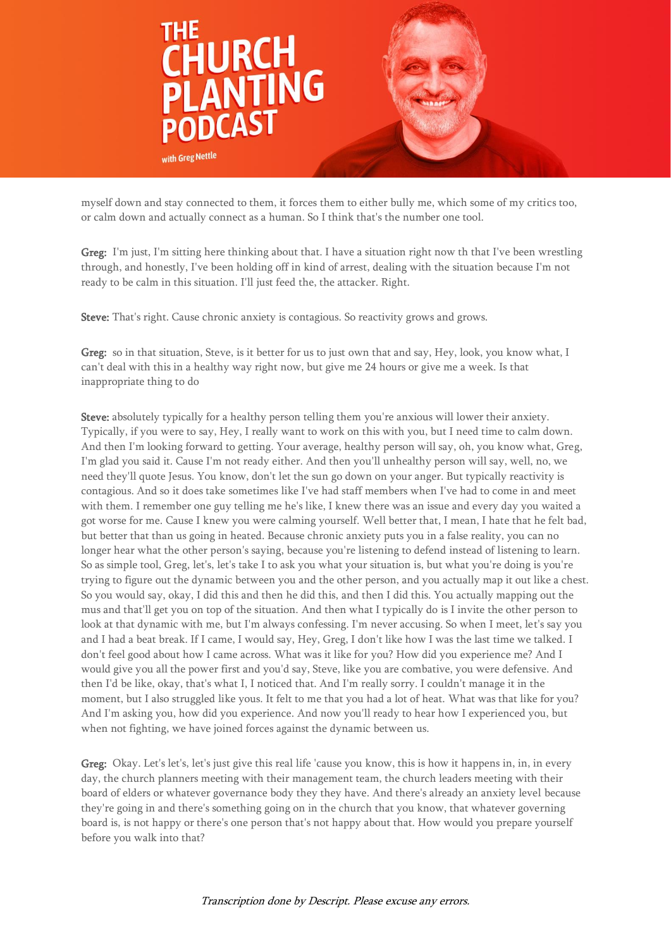

myself down and stay connected to them, it forces them to either bully me, which some of my critics too, or calm down and actually connect as a human. So I think that's the number one tool.

Greg: I'm just, I'm sitting here thinking about that. I have a situation right now th that I've been wrestling through, and honestly, I've been holding off in kind of arrest, dealing with the situation because I'm not ready to be calm in this situation. I'll just feed the, the attacker. Right.

Steve: That's right. Cause chronic anxiety is contagious. So reactivity grows and grows.

Greg: so in that situation, Steve, is it better for us to just own that and say, Hey, look, you know what, I can't deal with this in a healthy way right now, but give me 24 hours or give me a week. Is that inappropriate thing to do

Steve: absolutely typically for a healthy person telling them you're anxious will lower their anxiety. Typically, if you were to say, Hey, I really want to work on this with you, but I need time to calm down. And then I'm looking forward to getting. Your average, healthy person will say, oh, you know what, Greg, I'm glad you said it. Cause I'm not ready either. And then you'll unhealthy person will say, well, no, we need they'll quote Jesus. You know, don't let the sun go down on your anger. But typically reactivity is contagious. And so it does take sometimes like I've had staff members when I've had to come in and meet with them. I remember one guy telling me he's like, I knew there was an issue and every day you waited a got worse for me. Cause I knew you were calming yourself. Well better that, I mean, I hate that he felt bad, but better that than us going in heated. Because chronic anxiety puts you in a false reality, you can no longer hear what the other person's saying, because you're listening to defend instead of listening to learn. So as simple tool, Greg, let's, let's take I to ask you what your situation is, but what you're doing is you're trying to figure out the dynamic between you and the other person, and you actually map it out like a chest. So you would say, okay, I did this and then he did this, and then I did this. You actually mapping out the mus and that'll get you on top of the situation. And then what I typically do is I invite the other person to look at that dynamic with me, but I'm always confessing. I'm never accusing. So when I meet, let's say you and I had a beat break. If I came, I would say, Hey, Greg, I don't like how I was the last time we talked. I don't feel good about how I came across. What was it like for you? How did you experience me? And I would give you all the power first and you'd say, Steve, like you are combative, you were defensive. And then I'd be like, okay, that's what I, I noticed that. And I'm really sorry. I couldn't manage it in the moment, but I also struggled like yous. It felt to me that you had a lot of heat. What was that like for you? And I'm asking you, how did you experience. And now you'll ready to hear how I experienced you, but when not fighting, we have joined forces against the dynamic between us.

Greg: Okay. Let's let's, let's just give this real life 'cause you know, this is how it happens in, in, in every day, the church planners meeting with their management team, the church leaders meeting with their board of elders or whatever governance body they they have. And there's already an anxiety level because they're going in and there's something going on in the church that you know, that whatever governing board is, is not happy or there's one person that's not happy about that. How would you prepare yourself before you walk into that?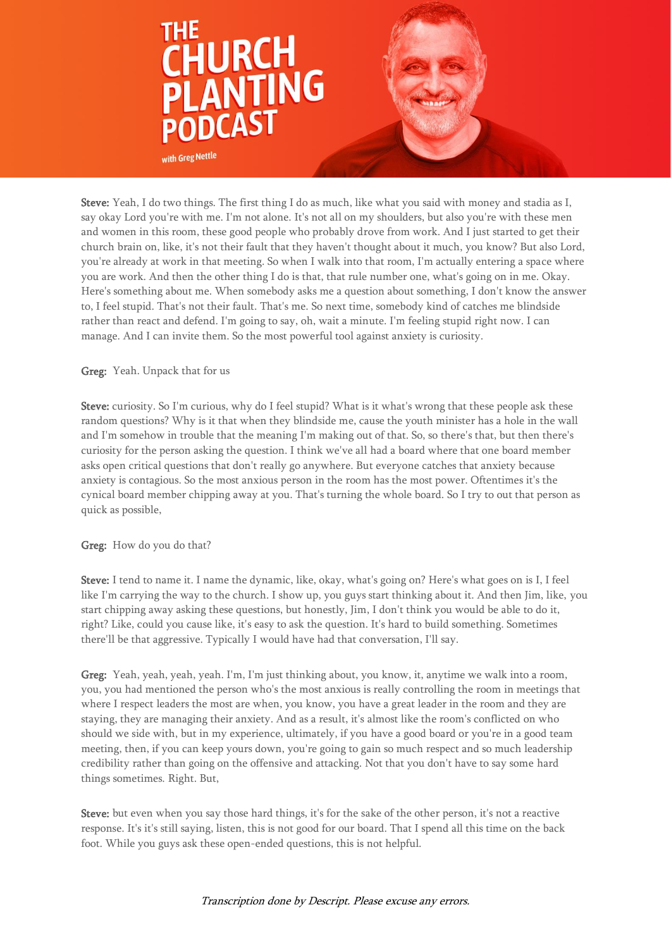

Steve: Yeah, I do two things. The first thing I do as much, like what you said with money and stadia as I, say okay Lord you're with me. I'm not alone. It's not all on my shoulders, but also you're with these men and women in this room, these good people who probably drove from work. And I just started to get their church brain on, like, it's not their fault that they haven't thought about it much, you know? But also Lord, you're already at work in that meeting. So when I walk into that room, I'm actually entering a space where you are work. And then the other thing I do is that, that rule number one, what's going on in me. Okay. Here's something about me. When somebody asks me a question about something, I don't know the answer to, I feel stupid. That's not their fault. That's me. So next time, somebody kind of catches me blindside rather than react and defend. I'm going to say, oh, wait a minute. I'm feeling stupid right now. I can manage. And I can invite them. So the most powerful tool against anxiety is curiosity.

## Greg: Yeah. Unpack that for us

Steve: curiosity. So I'm curious, why do I feel stupid? What is it what's wrong that these people ask these random questions? Why is it that when they blindside me, cause the youth minister has a hole in the wall and I'm somehow in trouble that the meaning I'm making out of that. So, so there's that, but then there's curiosity for the person asking the question. I think we've all had a board where that one board member asks open critical questions that don't really go anywhere. But everyone catches that anxiety because anxiety is contagious. So the most anxious person in the room has the most power. Oftentimes it's the cynical board member chipping away at you. That's turning the whole board. So I try to out that person as quick as possible,

## Greg: How do you do that?

Steve: I tend to name it. I name the dynamic, like, okay, what's going on? Here's what goes on is I, I feel like I'm carrying the way to the church. I show up, you guys start thinking about it. And then Jim, like, you start chipping away asking these questions, but honestly, Jim, I don't think you would be able to do it, right? Like, could you cause like, it's easy to ask the question. It's hard to build something. Sometimes there'll be that aggressive. Typically I would have had that conversation, I'll say.

Greg: Yeah, yeah, yeah, yeah. I'm, I'm just thinking about, you know, it, anytime we walk into a room, you, you had mentioned the person who's the most anxious is really controlling the room in meetings that where I respect leaders the most are when, you know, you have a great leader in the room and they are staying, they are managing their anxiety. And as a result, it's almost like the room's conflicted on who should we side with, but in my experience, ultimately, if you have a good board or you're in a good team meeting, then, if you can keep yours down, you're going to gain so much respect and so much leadership credibility rather than going on the offensive and attacking. Not that you don't have to say some hard things sometimes. Right. But,

Steve: but even when you say those hard things, it's for the sake of the other person, it's not a reactive response. It's it's still saying, listen, this is not good for our board. That I spend all this time on the back foot. While you guys ask these open-ended questions, this is not helpful.